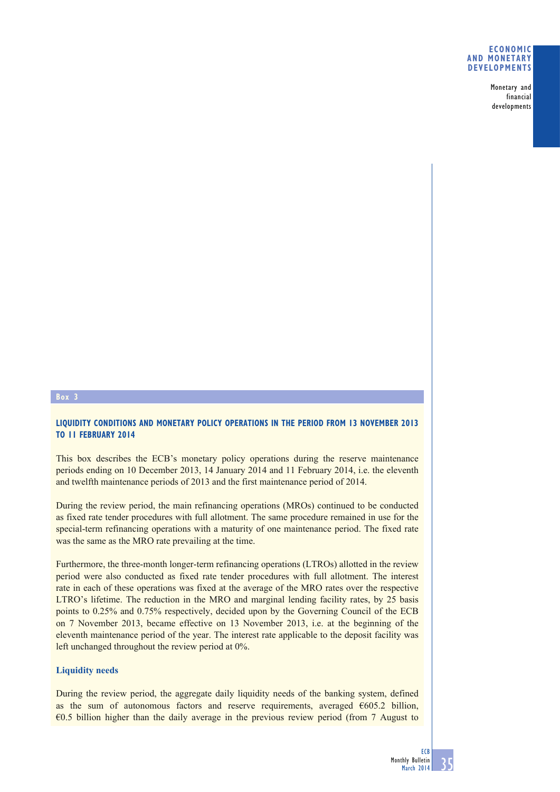#### **ECONOMIC AND MONETARY DEVELOPMENTS**

Monetary and financial developments

#### **Box 3**

## **LIQUIDITY CONDITIONS AND MONETARY POLICY OPERATIONS IN THE PERIOD FROM 13 NOVEMBER 2013 TO 11 FEBRUARY 2014**

This box describes the ECB's monetary policy operations during the reserve maintenance periods ending on 10 December 2013, 14 January 2014 and 11 February 2014, i.e. the eleventh and twelfth maintenance periods of 2013 and the first maintenance period of 2014.

During the review period, the main refinancing operations (MROs) continued to be conducted as fixed rate tender procedures with full allotment. The same procedure remained in use for the special-term refinancing operations with a maturity of one maintenance period. The fixed rate was the same as the MRO rate prevailing at the time.

Furthermore, the three-month longer-term refinancing operations (LTROs) allotted in the review period were also conducted as fixed rate tender procedures with full allotment. The interest rate in each of these operations was fixed at the average of the MRO rates over the respective LTRO's lifetime. The reduction in the MRO and marginal lending facility rates, by 25 basis points to 0.25% and 0.75% respectively, decided upon by the Governing Council of the ECB on 7 November 2013, became effective on 13 November 2013, i.e. at the beginning of the eleventh maintenance period of the year. The interest rate applicable to the deposit facility was left unchanged throughout the review period at 0%.

#### **Liquidity needs**

During the review period, the aggregate daily liquidity needs of the banking system, defined as the sum of autonomous factors and reserve requirements, averaged  $\epsilon$ 605.2 billion,  $\epsilon$ 0.5 billion higher than the daily average in the previous review period (from 7 August to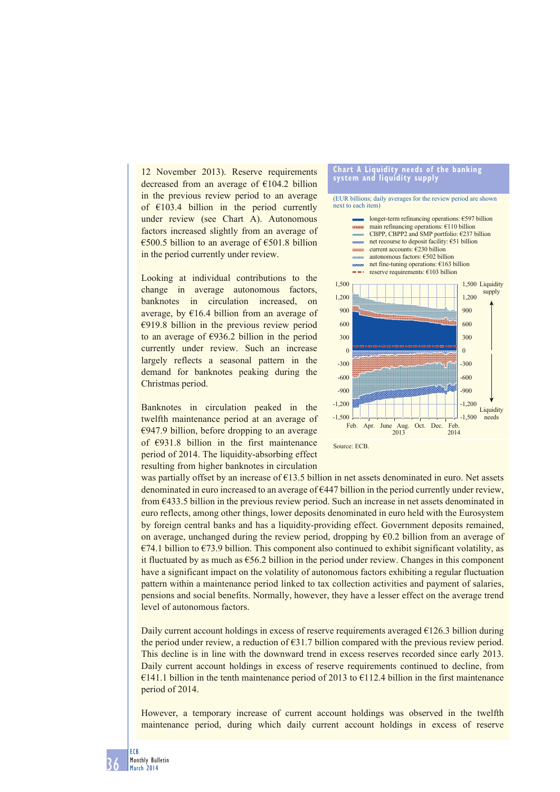12 November 2013). Reserve requirements decreased from an average of €104.2 billion in the previous review period to an average of  $\epsilon$ 103.4 billion in the period currently under review (see Chart A). Autonomous factors increased slightly from an average of €500.5 billion to an average of  $€501.8$  billion in the period currently under review.

Looking at individual contributions to the change in average autonomous factors, banknotes in circulation increased, on average, by  $E16.4$  billion from an average of €919.8 billion in the previous review period to an average of  $\epsilon$ 936.2 billion in the period currently under review. Such an increase largely reflects a seasonal pattern in the demand for banknotes peaking during the Christmas period.

Banknotes in circulation peaked in the twelfth maintenance period at an average of  $€947.9$  billion, before dropping to an average of €931.8 billion in the first maintenance period of 2014. The liquidity-absorbing effect resulting from higher banknotes in circulation



(EUR billions; daily averages for the review period are shown next to each item)



was partially offset by an increase of €13.5 billion in net assets denominated in euro. Net assets denominated in euro increased to an average of  $\epsilon$ 447 billion in the period currently under review, from €433.5 billion in the previous review period. Such an increase in net assets denominated in euro reflects, among other things, lower deposits denominated in euro held with the Eurosystem by foreign central banks and has a liquidity-providing effect. Government deposits remained, on average, unchanged during the review period, dropping by  $\epsilon$ 0.2 billion from an average of  $\epsilon$ 74.1 billion to  $\epsilon$ 73.9 billion. This component also continued to exhibit significant volatility, as it fluctuated by as much as  $656.2$  billion in the period under review. Changes in this component have a significant impact on the volatility of autonomous factors exhibiting a regular fluctuation pattern within a maintenance period linked to tax collection activities and payment of salaries, pensions and social benefits. Normally, however, they have a lesser effect on the average trend level of autonomous factors.

Daily current account holdings in excess of reserve requirements averaged  $E126.3$  billion during the period under review, a reduction of  $631.7$  billion compared with the previous review period. This decline is in line with the downward trend in excess reserves recorded since early 2013. Daily current account holdings in excess of reserve requirements continued to decline, from  $€141.1$  billion in the tenth maintenance period of 2013 to  $€112.4$  billion in the first maintenance period of 2014.

However, a temporary increase of current account holdings was observed in the twelfth maintenance period, during which daily current account holdings in excess of reserve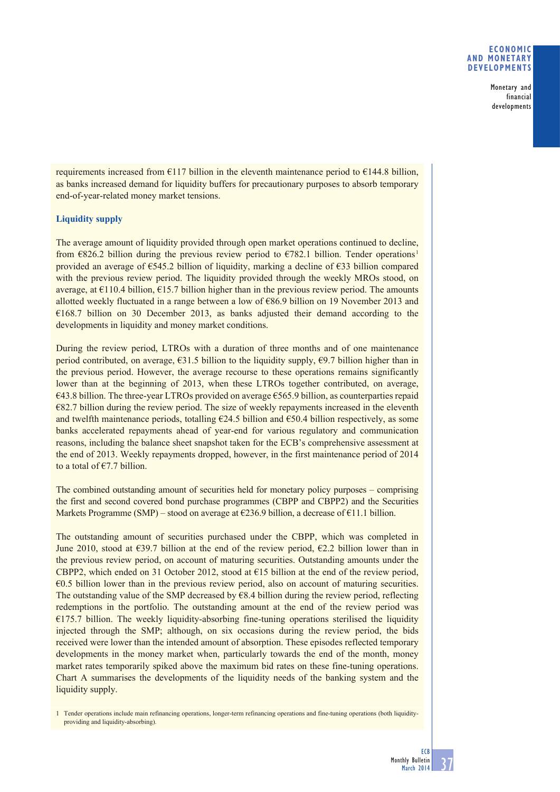#### **ECONOMIC AND MONETARY DEVELOPMENTS**

Monetary and financial developments

requirements increased from  $E117$  billion in the eleventh maintenance period to  $E144.8$  billion, as banks increased demand for liquidity buffers for precautionary purposes to absorb temporary end-of-year-related money market tensions.

# **Liquidity supply**

The average amount of liquidity provided through open market operations continued to decline, from  $\epsilon$ 826.2 billion during the previous review period to  $\epsilon$ 782.1 billion. Tender operations<sup>1</sup> provided an average of €545.2 billion of liquidity, marking a decline of €33 billion compared with the previous review period. The liquidity provided through the weekly MROs stood, on average, at  $E110.4$  billion,  $E15.7$  billion higher than in the previous review period. The amounts allotted weekly fluctuated in a range between a low of €86.9 billion on 19 November 2013 and €168.7 billion on 30 December 2013, as banks adjusted their demand according to the developments in liquidity and money market conditions.

During the review period, LTROs with a duration of three months and of one maintenance period contributed, on average,  $\epsilon$ 31.5 billion to the liquidity supply,  $\epsilon$ 9.7 billion higher than in the previous period. However, the average recourse to these operations remains significantly lower than at the beginning of 2013, when these LTROs together contributed, on average, €43.8 billion. The three-year LTROs provided on average €565.9 billion, as counterparties repaid €82.7 billion during the review period. The size of weekly repayments increased in the eleventh and twelfth maintenance periods, totalling  $\epsilon$ 24.5 billion and  $\epsilon$ 50.4 billion respectively, as some banks accelerated repayments ahead of year-end for various regulatory and communication reasons, including the balance sheet snapshot taken for the ECB's comprehensive assessment at the end of 2013. Weekly repayments dropped, however, in the first maintenance period of 2014 to a total of  $E$ 7.7 billion.

The combined outstanding amount of securities held for monetary policy purposes – comprising the first and second covered bond purchase programmes (CBPP and CBPP2) and the Securities Markets Programme (SMP) – stood on average at  $\epsilon$ 236.9 billion, a decrease of  $\epsilon$ 11.1 billion.

The outstanding amount of securities purchased under the CBPP, which was completed in June 2010, stood at  $\epsilon$ 39.7 billion at the end of the review period,  $\epsilon$ 2.2 billion lower than in the previous review period, on account of maturing securities. Outstanding amounts under the CBPP2, which ended on 31 October 2012, stood at €15 billion at the end of the review period,  $60.5$  billion lower than in the previous review period, also on account of maturing securities. The outstanding value of the SMP decreased by  $68.4$  billion during the review period, reflecting redemptions in the portfolio. The outstanding amount at the end of the review period was  $€175.7$  billion. The weekly liquidity-absorbing fine-tuning operations sterilised the liquidity injected through the SMP; although, on six occasions during the review period, the bids received were lower than the intended amount of absorption. These episodes reflected temporary developments in the money market when, particularly towards the end of the month, money market rates temporarily spiked above the maximum bid rates on these fine-tuning operations. Chart A summarises the developments of the liquidity needs of the banking system and the liquidity supply.

1 Tender operations include main refinancing operations, longer-term refinancing operations and fine-tuning operations (both liquidityproviding and liquidity-absorbing).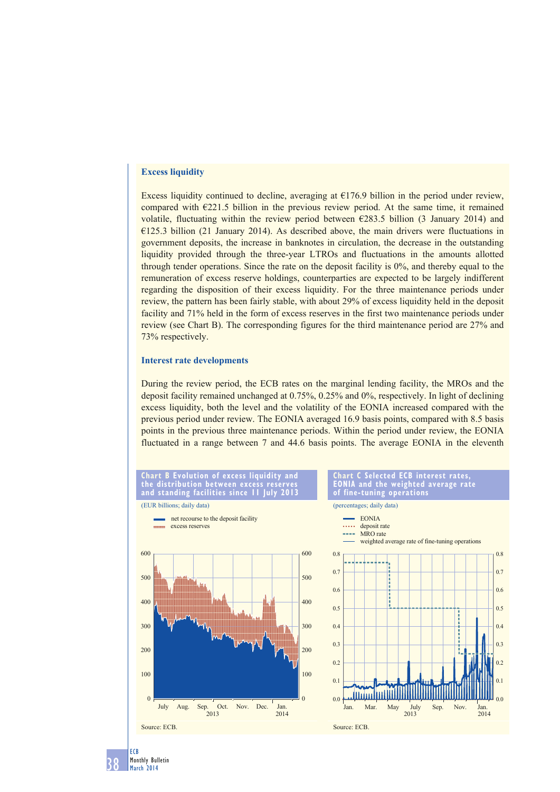### **Excess liquidity**

Excess liquidity continued to decline, averaging at  $E176.9$  billion in the period under review, compared with  $E221.5$  billion in the previous review period. At the same time, it remained volatile, fluctuating within the review period between €283.5 billion (3 January 2014) and  $E125.3$  billion (21 January 2014). As described above, the main drivers were fluctuations in government deposits, the increase in banknotes in circulation, the decrease in the outstanding liquidity provided through the three-year LTROs and fluctuations in the amounts allotted through tender operations. Since the rate on the deposit facility is 0%, and thereby equal to the remuneration of excess reserve holdings, counterparties are expected to be largely indifferent regarding the disposition of their excess liquidity. For the three maintenance periods under review, the pattern has been fairly stable, with about 29% of excess liquidity held in the deposit facility and 71% held in the form of excess reserves in the first two maintenance periods under review (see Chart B). The corresponding figures for the third maintenance period are 27% and 73% respectively.

#### **Interest rate developments**

During the review period, the ECB rates on the marginal lending facility, the MROs and the deposit facility remained unchanged at 0.75%, 0.25% and 0%, respectively. In light of declining excess liquidity, both the level and the volatility of the EONIA increased compared with the previous period under review. The EONIA averaged 16.9 basis points, compared with 8.5 basis points in the previous three maintenance periods. Within the period under review, the EONIA fluctuated in a range between 7 and 44.6 basis points. The average EONIA in the eleventh



38 Monthly Bulletin March 2014